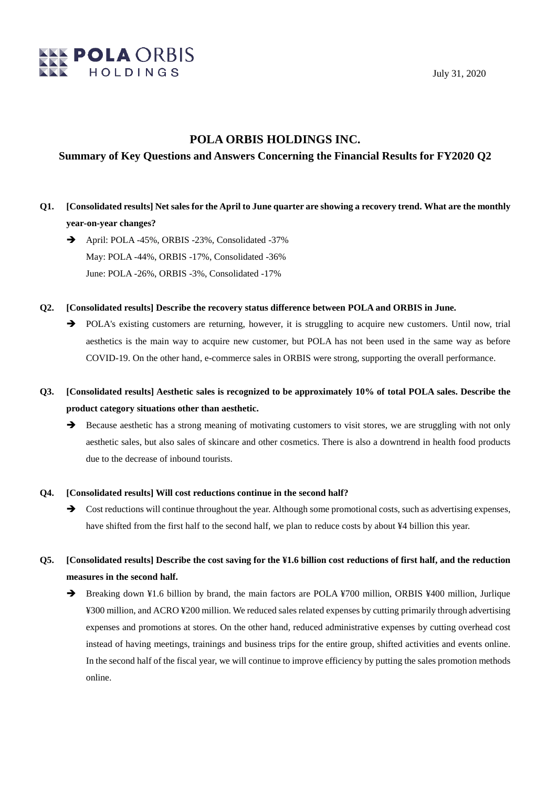

### **POLA ORBIS HOLDINGS INC.**

### **Summary of Key Questions and Answers Concerning the Financial Results for FY2020 Q2**

- **Q1. [Consolidated results] Net sales for the April to June quarter are showing a recovery trend. What are the monthly year-on-year changes?**
	- April: POLA -45%, ORBIS -23%, Consolidated -37% May: POLA -44%, ORBIS -17%, Consolidated -36% June: POLA -26%, ORBIS -3%, Consolidated -17%
- **Q2. [Consolidated results] Describe the recovery status difference between POLA and ORBIS in June.**
	- POLA's existing customers are returning, however, it is struggling to acquire new customers. Until now, trial aesthetics is the main way to acquire new customer, but POLA has not been used in the same way as before COVID-19. On the other hand, e-commerce sales in ORBIS were strong, supporting the overall performance.
- **Q3. [Consolidated results] Aesthetic sales is recognized to be approximately 10% of total POLA sales. Describe the product category situations other than aesthetic.**
	- $\rightarrow$  Because aesthetic has a strong meaning of motivating customers to visit stores, we are struggling with not only aesthetic sales, but also sales of skincare and other cosmetics. There is also a downtrend in health food products due to the decrease of inbound tourists.

#### **Q4. [Consolidated results] Will cost reductions continue in the second half?**

- $\rightarrow$  Cost reductions will continue throughout the year. Although some promotional costs, such as advertising expenses, have shifted from the first half to the second half, we plan to reduce costs by about ¥4 billion this year.
- **Q5. [Consolidated results] Describe the cost saving for the ¥1.6 billion cost reductions of first half, and the reduction measures in the second half.**
	- → Breaking down ¥1.6 billion by brand, the main factors are POLA ¥700 million, ORBIS ¥400 million, Jurlique ¥300 million, and ACRO ¥200 million. We reduced sales related expenses by cutting primarily through advertising expenses and promotions at stores. On the other hand, reduced administrative expenses by cutting overhead cost instead of having meetings, trainings and business trips for the entire group, shifted activities and events online. In the second half of the fiscal year, we will continue to improve efficiency by putting the sales promotion methods online.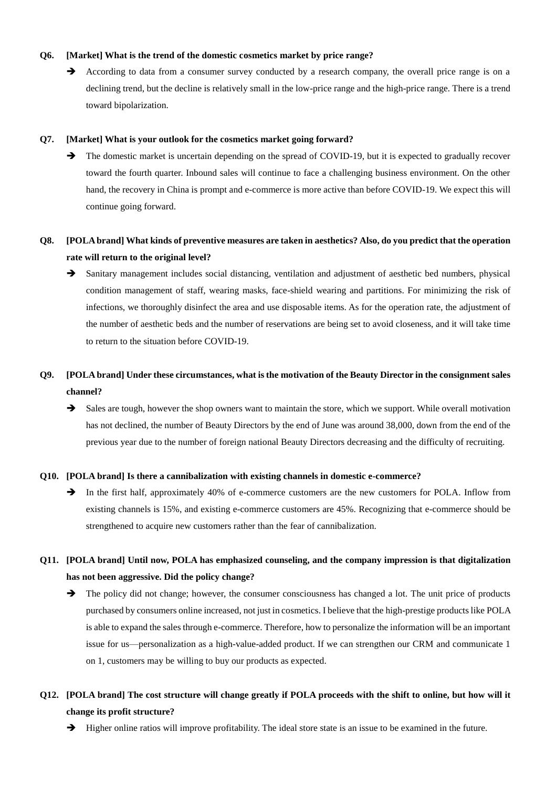### **Q6. [Market] What is the trend of the domestic cosmetics market by price range?**

According to data from a consumer survey conducted by a research company, the overall price range is on a declining trend, but the decline is relatively small in the low-price range and the high-price range. There is a trend toward bipolarization.

#### **Q7. [Market] What is your outlook for the cosmetics market going forward?**

 $\rightarrow$  The domestic market is uncertain depending on the spread of COVID-19, but it is expected to gradually recover toward the fourth quarter. Inbound sales will continue to face a challenging business environment. On the other hand, the recovery in China is prompt and e-commerce is more active than before COVID-19. We expect this will continue going forward.

## **Q8. [POLA brand] What kinds of preventive measures are taken in aesthetics? Also, do you predict that the operation rate will return to the original level?**

 Sanitary management includes social distancing, ventilation and adjustment of aesthetic bed numbers, physical condition management of staff, wearing masks, face-shield wearing and partitions. For minimizing the risk of infections, we thoroughly disinfect the area and use disposable items. As for the operation rate, the adjustment of the number of aesthetic beds and the number of reservations are being set to avoid closeness, and it will take time to return to the situation before COVID-19.

# **Q9. [POLA brand] Under these circumstances, what is the motivation of the Beauty Director in the consignment sales channel?**

Sales are tough, however the shop owners want to maintain the store, which we support. While overall motivation has not declined, the number of Beauty Directors by the end of June was around 38,000, down from the end of the previous year due to the number of foreign national Beauty Directors decreasing and the difficulty of recruiting.

#### **Q10. [POLA brand] Is there a cannibalization with existing channels in domestic e-commerce?**

In the first half, approximately 40% of e-commerce customers are the new customers for POLA. Inflow from existing channels is 15%, and existing e-commerce customers are 45%. Recognizing that e-commerce should be strengthened to acquire new customers rather than the fear of cannibalization.

### **Q11. [POLA brand] Until now, POLA has emphasized counseling, and the company impression is that digitalization has not been aggressive. Did the policy change?**

 $\rightarrow$  The policy did not change; however, the consumer consciousness has changed a lot. The unit price of products purchased by consumers online increased, not just in cosmetics. I believe that the high-prestige products like POLA is able to expand the sales through e-commerce. Therefore, how to personalize the information will be an important issue for us—personalization as a high-value-added product. If we can strengthen our CRM and communicate 1 on 1, customers may be willing to buy our products as expected.

## **Q12. [POLA brand] The cost structure will change greatly if POLA proceeds with the shift to online, but how will it change its profit structure?**

 $\rightarrow$  Higher online ratios will improve profitability. The ideal store state is an issue to be examined in the future.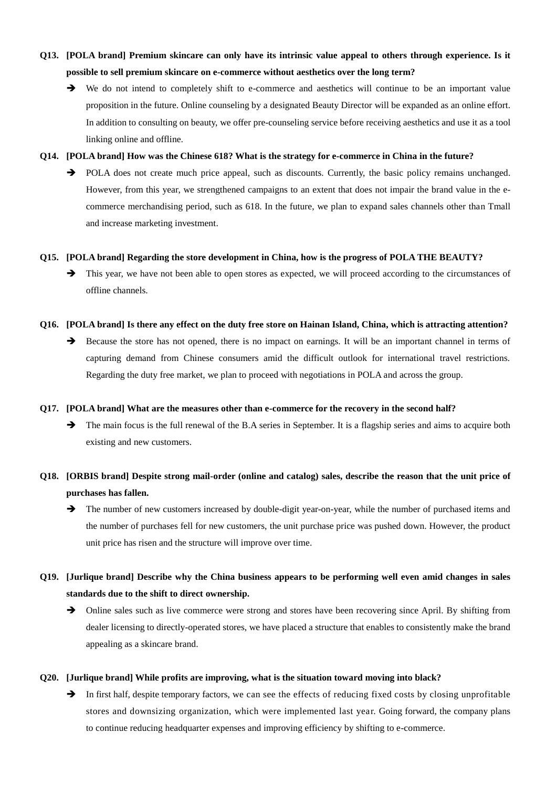## **Q13. [POLA brand] Premium skincare can only have its intrinsic value appeal to others through experience. Is it possible to sell premium skincare on e-commerce without aesthetics over the long term?**

 We do not intend to completely shift to e-commerce and aesthetics will continue to be an important value proposition in the future. Online counseling by a designated Beauty Director will be expanded as an online effort. In addition to consulting on beauty, we offer pre-counseling service before receiving aesthetics and use it as a tool linking online and offline.

#### **Q14. [POLA brand] How was the Chinese 618? What is the strategy for e-commerce in China in the future?**

POLA does not create much price appeal, such as discounts. Currently, the basic policy remains unchanged. However, from this year, we strengthened campaigns to an extent that does not impair the brand value in the ecommerce merchandising period, such as 618. In the future, we plan to expand sales channels other than Tmall and increase marketing investment.

### **Q15. [POLA brand] Regarding the store development in China, how is the progress of POLA THE BEAUTY?**

 $\rightarrow$  This year, we have not been able to open stores as expected, we will proceed according to the circumstances of offline channels.

### **Q16. [POLA brand] Is there any effect on the duty free store on Hainan Island, China, which is attracting attention?**

Because the store has not opened, there is no impact on earnings. It will be an important channel in terms of capturing demand from Chinese consumers amid the difficult outlook for international travel restrictions. Regarding the duty free market, we plan to proceed with negotiations in POLA and across the group.

#### **Q17. [POLA brand] What are the measures other than e-commerce for the recovery in the second half?**

 $\rightarrow$  The main focus is the full renewal of the B.A series in September. It is a flagship series and aims to acquire both existing and new customers.

## **Q18. [ORBIS brand] Despite strong mail-order (online and catalog) sales, describe the reason that the unit price of purchases has fallen.**

 $\rightarrow$  The number of new customers increased by double-digit year-on-year, while the number of purchased items and the number of purchases fell for new customers, the unit purchase price was pushed down. However, the product unit price has risen and the structure will improve over time.

# **Q19. [Jurlique brand] Describe why the China business appears to be performing well even amid changes in sales standards due to the shift to direct ownership.**

 $\rightarrow$  Online sales such as live commerce were strong and stores have been recovering since April. By shifting from dealer licensing to directly-operated stores, we have placed a structure that enables to consistently make the brand appealing as a skincare brand.

### **Q20. [Jurlique brand] While profits are improving, what is the situation toward moving into black?**

In first half, despite temporary factors, we can see the effects of reducing fixed costs by closing unprofitable stores and downsizing organization, which were implemented last year. Going forward, the company plans to continue reducing headquarter expenses and improving efficiency by shifting to e-commerce.